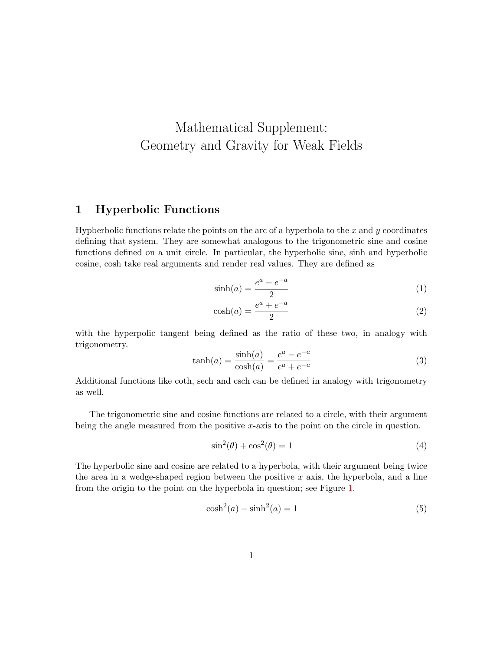# <span id="page-0-0"></span>Mathematical Supplement: Geometry and Gravity for Weak Fields

### 1 Hyperbolic Functions

Hypberbolic functions relate the points on the arc of a hyperbola to the  $x$  and  $y$  coordinates defining that system. They are somewhat analogous to the trigonometric sine and cosine functions defined on a unit circle. In particular, the hyperbolic sine, sinh and hyperbolic cosine, cosh take real arguments and render real values. They are defined as

$$
\sinh(a) = \frac{e^a - e^{-a}}{2} \tag{1}
$$

$$
\cosh(a) = \frac{e^a + e^{-a}}{2} \tag{2}
$$

with the hyperpolic tangent being defined as the ratio of these two, in analogy with trigonometry.

$$
\tanh(a) = \frac{\sinh(a)}{\cosh(a)} = \frac{e^a - e^{-a}}{e^a + e^{-a}}\tag{3}
$$

Additional functions like coth, sech and csch can be defined in analogy with trigonometry as well.

The trigonometric sine and cosine functions are related to a circle, with their argument being the angle measured from the positive x-axis to the point on the circle in question.

$$
\sin^2(\theta) + \cos^2(\theta) = 1\tag{4}
$$

The hyperbolic sine and cosine are related to a hyperbola, with their argument being twice the area in a wedge-shaped region between the positive  $x$  axis, the hyperbola, and a line from the origin to the point on the hyperbola in question; see Figure [1.](#page-1-0)

$$
\cosh^2(a) - \sinh^2(a) = 1\tag{5}
$$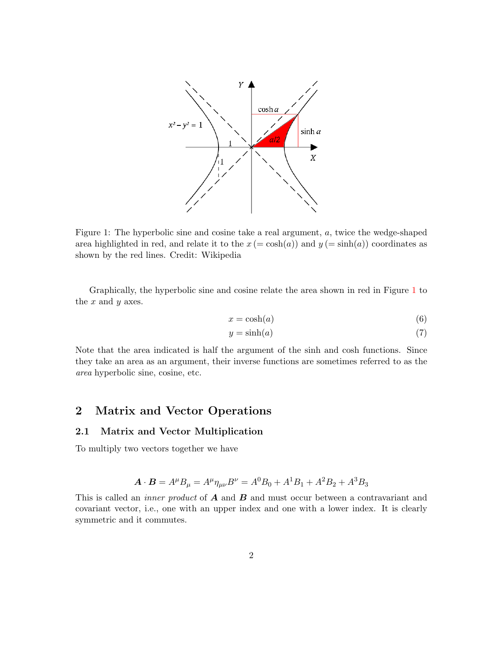

<span id="page-1-0"></span>Figure 1: The hyperbolic sine and cosine take a real argument, a, twice the wedge-shaped area highlighted in red, and relate it to the  $x (= \cosh(a))$  and  $y (= \sinh(a))$  coordinates as shown by the red lines. Credit: Wikipedia

Graphically, the hyperbolic sine and cosine relate the area shown in red in Figure [1](#page-1-0) to the  $x$  and  $y$  axes.

$$
x = \cosh(a) \tag{6}
$$

$$
y = \sinh(a) \tag{7}
$$

Note that the area indicated is half the argument of the sinh and cosh functions. Since they take an area as an argument, their inverse functions are sometimes referred to as the area hyperbolic sine, cosine, etc.

### 2 Matrix and Vector Operations

#### 2.1 Matrix and Vector Multiplication

To multiply two vectors together we have

$$
\mathbf{A} \cdot \mathbf{B} = A^{\mu} B_{\mu} = A^{\mu} \eta_{\mu\nu} B^{\nu} = A^0 B_0 + A^1 B_1 + A^2 B_2 + A^3 B_3
$$

This is called an *inner product* of  $\boldsymbol{A}$  and  $\boldsymbol{B}$  and must occur between a contravariant and covariant vector, i.e., one with an upper index and one with a lower index. It is clearly symmetric and it commutes.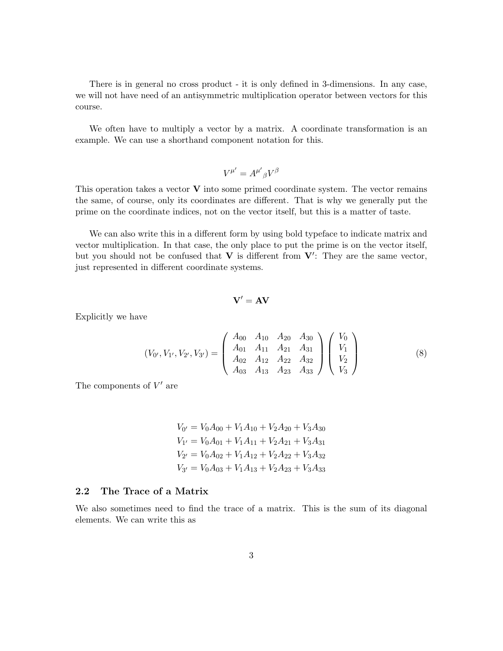There is in general no cross product - it is only defined in 3-dimensions. In any case, we will not have need of an antisymmetric multiplication operator between vectors for this course.

We often have to multiply a vector by a matrix. A coordinate transformation is an example. We can use a shorthand component notation for this.

$$
V^{\mu'} = A^{\mu'}{}_\beta V^\beta
$$

This operation takes a vector  $V$  into some primed coordinate system. The vector remains the same, of course, only its coordinates are different. That is why we generally put the prime on the coordinate indices, not on the vector itself, but this is a matter of taste.

We can also write this in a different form by using bold typeface to indicate matrix and vector multiplication. In that case, the only place to put the prime is on the vector itself, but you should not be confused that  $V$  is different from  $V'$ : They are the same vector, just represented in different coordinate systems.

$$
\mathbf{V}' = \mathbf{A}\mathbf{V}
$$

Explicitly we have

<span id="page-2-0"></span>
$$
(V_{0'}, V_{1'}, V_{2'}, V_{3'}) = \begin{pmatrix} A_{00} & A_{10} & A_{20} & A_{30} \\ A_{01} & A_{11} & A_{21} & A_{31} \\ A_{02} & A_{12} & A_{22} & A_{32} \\ A_{03} & A_{13} & A_{23} & A_{33} \end{pmatrix} \begin{pmatrix} V_{0} \\ V_{1} \\ V_{2} \\ V_{3} \end{pmatrix}
$$
 (8)

The components of  $V'$  are

$$
V_{0'} = V_0 A_{00} + V_1 A_{10} + V_2 A_{20} + V_3 A_{30}
$$
  
\n
$$
V_{1'} = V_0 A_{01} + V_1 A_{11} + V_2 A_{21} + V_3 A_{31}
$$
  
\n
$$
V_{2'} = V_0 A_{02} + V_1 A_{12} + V_2 A_{22} + V_3 A_{32}
$$
  
\n
$$
V_{3'} = V_0 A_{03} + V_1 A_{13} + V_2 A_{23} + V_3 A_{33}
$$

#### 2.2 The Trace of a Matrix

We also sometimes need to find the trace of a matrix. This is the sum of its diagonal elements. We can write this as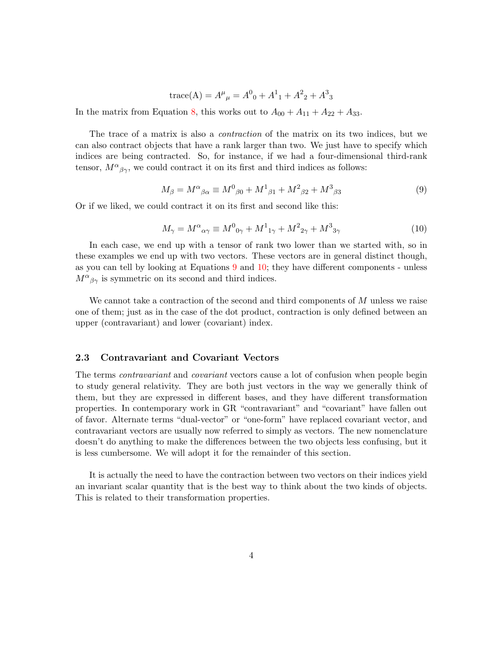trace(A) = 
$$
A^{\mu}{}_{\mu} = A^0{}_{0} + A^1{}_{1} + A^2{}_{2} + A^3{}_{3}
$$

In the matrix from Equation [8,](#page-2-0) this works out to  $A_{00} + A_{11} + A_{22} + A_{33}$ .

The trace of a matrix is also a contraction of the matrix on its two indices, but we can also contract objects that have a rank larger than two. We just have to specify which indices are being contracted. So, for instance, if we had a four-dimensional third-rank tensor,  $M^{\alpha}{}_{\beta\gamma}$ , we could contract it on its first and third indices as follows:

<span id="page-3-0"></span>
$$
M_{\beta} = M^{\alpha}{}_{\beta\alpha} \equiv M^{0}{}_{\beta 0} + M^{1}{}_{\beta 1} + M^{2}{}_{\beta 2} + M^{3}{}_{\beta 3} \tag{9}
$$

Or if we liked, we could contract it on its first and second like this:

<span id="page-3-1"></span>
$$
M_{\gamma} = M^{\alpha}{}_{\alpha\gamma} \equiv M^{0}{}_{0\gamma} + M^{1}{}_{1\gamma} + M^{2}{}_{2\gamma} + M^{3}{}_{3\gamma}
$$
\n
$$
\tag{10}
$$

In each case, we end up with a tensor of rank two lower than we started with, so in these examples we end up with two vectors. These vectors are in general distinct though, as you can tell by looking at Equations [9](#page-3-0) and [10;](#page-3-1) they have different components - unless  $M^{\alpha}{}_{\beta\gamma}$  is symmetric on its second and third indices.

We cannot take a contraction of the second and third components of M unless we raise one of them; just as in the case of the dot product, contraction is only defined between an upper (contravariant) and lower (covariant) index.

#### 2.3 Contravariant and Covariant Vectors

The terms *contravariant* and *covariant* vectors cause a lot of confusion when people begin to study general relativity. They are both just vectors in the way we generally think of them, but they are expressed in different bases, and they have different transformation properties. In contemporary work in GR "contravariant" and "covariant" have fallen out of favor. Alternate terms "dual-vector" or "one-form" have replaced covariant vector, and contravariant vectors are usually now referred to simply as vectors. The new nomenclature doesn't do anything to make the differences between the two objects less confusing, but it is less cumbersome. We will adopt it for the remainder of this section.

It is actually the need to have the contraction between two vectors on their indices yield an invariant scalar quantity that is the best way to think about the two kinds of objects. This is related to their transformation properties.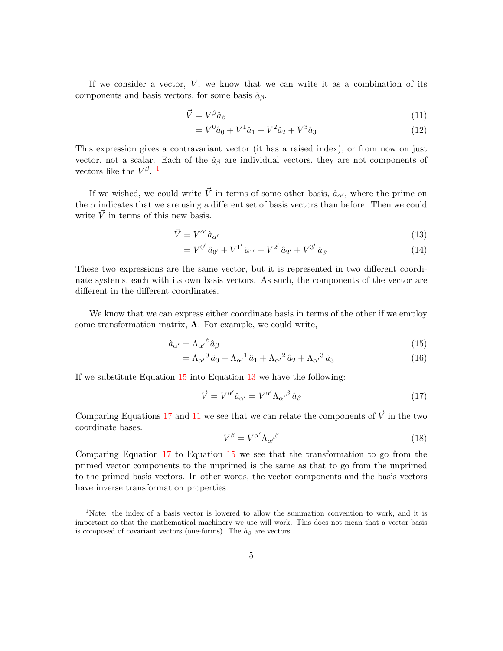If we consider a vector,  $\vec{V}$ , we know that we can write it as a combination of its components and basis vectors, for some basis  $\hat{a}_{\beta}$ .

$$
\vec{V} = V^{\beta} \hat{a}_{\beta} \tag{11}
$$

<span id="page-4-4"></span>
$$
= V^{0} \hat{a}_{0} + V^{1} \hat{a}_{1} + V^{2} \hat{a}_{2} + V^{3} \hat{a}_{3}
$$
\n
$$
(12)
$$

This expression gives a contravariant vector (it has a raised index), or from now on just vector, not a scalar. Each of the  $\hat{a}_{\beta}$  are individual vectors, they are not components of vectors like the  $V^{\beta}$ .<sup>[1](#page-4-0)</sup>

If we wished, we could write  $\vec{V}$  in terms of some other basis,  $\hat{a}_{\alpha'}$ , where the prime on the  $\alpha$  indicates that we are using a different set of basis vectors than before. Then we could write  $\vec{V}$  in terms of this new basis.

$$
\vec{V} = V^{\alpha'} \hat{a}_{\alpha'} \tag{13}
$$

<span id="page-4-2"></span>
$$
=V^{0'}\hat{a}_{0'} + V^{1'}\hat{a}_{1'} + V^{2'}\hat{a}_{2'} + V^{3'}\hat{a}_{3'}\tag{14}
$$

These two expressions are the same vector, but it is represented in two different coordinate systems, each with its own basis vectors. As such, the components of the vector are different in the different coordinates.

We know that we can express either coordinate basis in terms of the other if we employ some transformation matrix,  $\Lambda$ . For example, we could write,

$$
\hat{a}_{\alpha'} = \Lambda_{\alpha'}{}^{\beta} \hat{a}_{\beta} \tag{15}
$$

$$
= \Lambda_{\alpha'}{}^0 \hat{a}_0 + \Lambda_{\alpha'}{}^1 \hat{a}_1 + \Lambda_{\alpha'}{}^2 \hat{a}_2 + \Lambda_{\alpha'}{}^3 \hat{a}_3 \tag{16}
$$

If we substitute Equation [15](#page-4-1) into Equation [13](#page-4-2) we have the following:

<span id="page-4-3"></span>
$$
\vec{V} = V^{\alpha'} \hat{a}_{\alpha'} = V^{\alpha'} \Lambda_{\alpha'}{}^{\beta} \hat{a}_{\beta} \tag{17}
$$

Comparing Equations [17](#page-4-3) and [11](#page-4-4) we see that we can relate the components of  $\vec{V}$  in the two coordinate bases.

<span id="page-4-1"></span>
$$
V^{\beta} = V^{\alpha'} \Lambda_{\alpha'}{}^{\beta} \tag{18}
$$

Comparing Equation [17](#page-4-3) to Equation [15](#page-4-1) we see that the transformation to go from the primed vector components to the unprimed is the same as that to go from the unprimed to the primed basis vectors. In other words, the vector components and the basis vectors have inverse transformation properties.

<span id="page-4-0"></span><sup>&</sup>lt;sup>1</sup>Note: the index of a basis vector is lowered to allow the summation convention to work, and it is important so that the mathematical machinery we use will work. This does not mean that a vector basis is composed of covariant vectors (one-forms). The  $\hat{a}_{\beta}$  are vectors.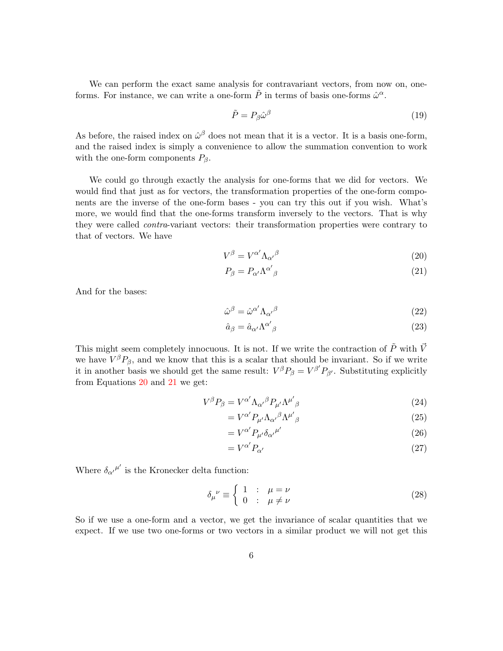We can perform the exact same analysis for contravariant vectors, from now on, oneforms. For instance, we can write a one-form  $\tilde{P}$  in terms of basis one-forms  $\hat{\omega}^{\alpha}$ .

$$
\tilde{P} = P_{\beta} \hat{\omega}^{\beta} \tag{19}
$$

As before, the raised index on  $\hat{\omega}^{\beta}$  does not mean that it is a vector. It is a basis one-form, and the raised index is simply a convenience to allow the summation convention to work with the one-form components  $P_\beta$ .

We could go through exactly the analysis for one-forms that we did for vectors. We would find that just as for vectors, the transformation properties of the one-form components are the inverse of the one-form bases - you can try this out if you wish. What's more, we would find that the one-forms transform inversely to the vectors. That is why they were called *contra*-variant vectors: their transformation properties were contrary to that of vectors. We have

$$
V^{\beta} = V^{\alpha'} \Lambda_{\alpha'}{}^{\beta} \tag{20}
$$

<span id="page-5-1"></span><span id="page-5-0"></span>
$$
P_{\beta} = P_{\alpha'} \Lambda^{\alpha'}{}_{\beta} \tag{21}
$$

And for the bases:

$$
\hat{\omega}^{\beta} = \hat{\omega}^{\alpha'} \Lambda_{\alpha'}^{\beta} \tag{22}
$$

$$
\hat{a}_{\beta} = \hat{a}_{\alpha'} \Lambda^{\alpha'}{}_{\beta} \tag{23}
$$

This might seem completely innocuous. It is not. If we write the contraction of  $\tilde{P}$  with  $\vec{V}$ we have  $V^{\beta}P_{\beta}$ , and we know that this is a scalar that should be invariant. So if we write it in another basis we should get the same result:  $V^{\beta}P_{\beta} = V^{\beta'}P_{\beta'}$ . Substituting explicitly from Equations [20](#page-5-0) and [21](#page-5-1) we get:

$$
V^{\beta}P_{\beta} = V^{\alpha'}\Lambda_{\alpha'}{}^{\beta}P_{\mu'}\Lambda^{\mu'}{}_{\beta}
$$
\n(24)

$$
=V^{\alpha'}P_{\mu'}\Lambda_{\alpha'}{}^{\beta}\Lambda^{\mu'}{}_{\beta} \tag{25}
$$

<span id="page-5-2"></span>
$$
=V^{\alpha'}P_{\mu'}\delta_{\alpha'}^{\mu'}\tag{26}
$$

$$
=V^{\alpha'}P_{\alpha'}\tag{27}
$$

Where  $\delta_{\alpha'}^{\mu'}$  is the Kronecker delta function:

$$
\delta_{\mu}{}^{\nu} \equiv \begin{cases} 1 & \colon & \mu = \nu \\ 0 & \colon & \mu \neq \nu \end{cases}
$$
 (28)

So if we use a one-form and a vector, we get the invariance of scalar quantities that we expect. If we use two one-forms or two vectors in a similar product we will not get this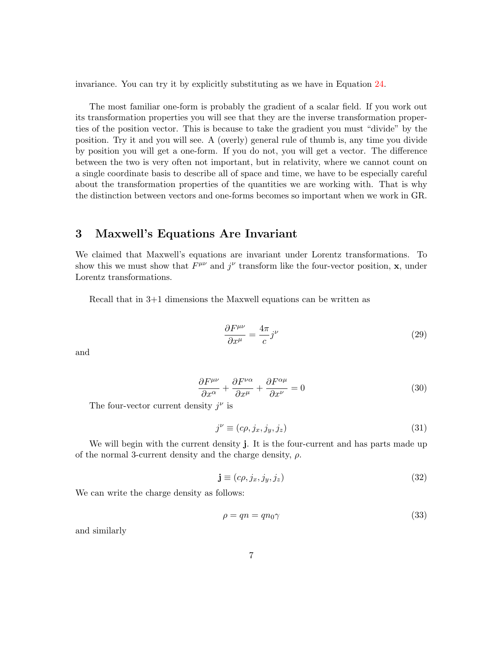invariance. You can try it by explicitly substituting as we have in Equation [24.](#page-5-2)

The most familiar one-form is probably the gradient of a scalar field. If you work out its transformation properties you will see that they are the inverse transformation properties of the position vector. This is because to take the gradient you must "divide" by the position. Try it and you will see. A (overly) general rule of thumb is, any time you divide by position you will get a one-form. If you do not, you will get a vector. The difference between the two is very often not important, but in relativity, where we cannot count on a single coordinate basis to describe all of space and time, we have to be especially careful about the transformation properties of the quantities we are working with. That is why the distinction between vectors and one-forms becomes so important when we work in GR.

## 3 Maxwell's Equations Are Invariant

We claimed that Maxwell's equations are invariant under Lorentz transformations. To show this we must show that  $F^{\mu\nu}$  and  $j^{\nu}$  transform like the four-vector position, **x**, under Lorentz transformations.

Recall that in 3+1 dimensions the Maxwell equations can be written as

<span id="page-6-0"></span>
$$
\frac{\partial F^{\mu\nu}}{\partial x^{\mu}} = \frac{4\pi}{c} j^{\nu} \tag{29}
$$

and

$$
\frac{\partial F^{\mu\nu}}{\partial x^{\alpha}} + \frac{\partial F^{\nu\alpha}}{\partial x^{\mu}} + \frac{\partial F^{\alpha\mu}}{\partial x^{\nu}} = 0
$$
\n(30)

The four-vector current density  $j^{\nu}$  is

$$
j^{\nu} \equiv (c\rho, j_x, j_y, j_z) \tag{31}
$$

We will begin with the current density j. It is the four-current and has parts made up of the normal 3-current density and the charge density,  $\rho$ .

$$
\mathbf{j} \equiv (c\rho, j_x, j_y, j_z) \tag{32}
$$

We can write the charge density as follows:

$$
\rho = qn = qn_0\gamma \tag{33}
$$

and similarly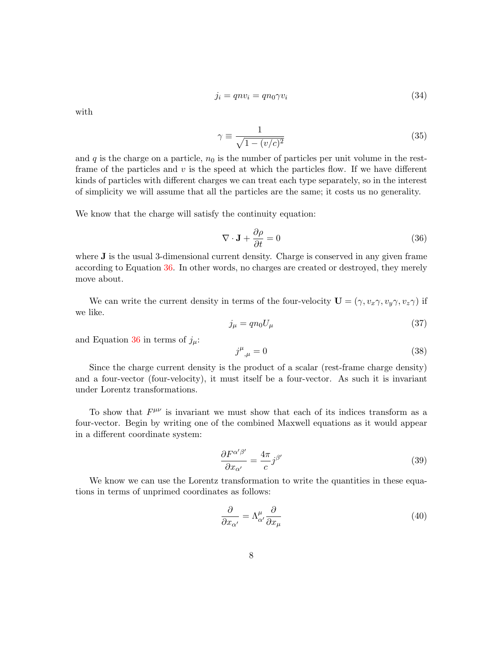$$
j_i = qnv_i = qn_0 \gamma v_i \tag{34}
$$

with

$$
\gamma \equiv \frac{1}{\sqrt{1 - (v/c)^2}}\tag{35}
$$

and  $q$  is the charge on a particle,  $n_0$  is the number of particles per unit volume in the restframe of the particles and  $v$  is the speed at which the particles flow. If we have different kinds of particles with different charges we can treat each type separately, so in the interest of simplicity we will assume that all the particles are the same; it costs us no generality.

We know that the charge will satisfy the continuity equation:

<span id="page-7-0"></span>
$$
\nabla \cdot \mathbf{J} + \frac{\partial \rho}{\partial t} = 0 \tag{36}
$$

where **J** is the usual 3-dimensional current density. Charge is conserved in any given frame according to Equation [36.](#page-7-0) In other words, no charges are created or destroyed, they merely move about.

We can write the current density in terms of the four-velocity  $\mathbf{U} = (\gamma, v_x \gamma, v_y \gamma, v_z \gamma)$  if we like.

$$
j_{\mu} = q n_0 U_{\mu} \tag{37}
$$

and Equation [36](#page-7-0) in terms of  $j_{\mu}$ :

$$
j^{\mu}_{\ \mu} = 0 \tag{38}
$$

Since the charge current density is the product of a scalar (rest-frame charge density) and a four-vector (four-velocity), it must itself be a four-vector. As such it is invariant under Lorentz transformations.

To show that  $F^{\mu\nu}$  is invariant we must show that each of its indices transform as a four-vector. Begin by writing one of the combined Maxwell equations as it would appear in a different coordinate system:

<span id="page-7-1"></span>
$$
\frac{\partial F^{\alpha'\beta'}}{\partial x_{\alpha'}} = \frac{4\pi}{c} j^{\beta'} \tag{39}
$$

We know we can use the Lorentz transformation to write the quantities in these equations in terms of unprimed coordinates as follows:

$$
\frac{\partial}{\partial x_{\alpha'}} = \Lambda^{\mu}_{\alpha'} \frac{\partial}{\partial x_{\mu}} \tag{40}
$$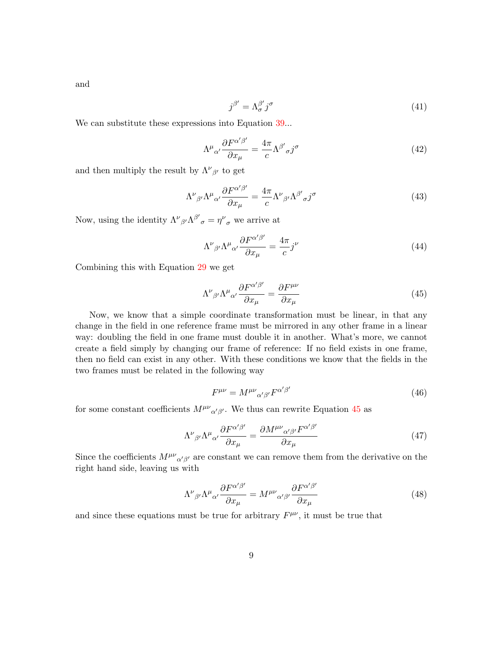and

$$
j^{\beta'} = \Lambda^{\beta'}_{\sigma} j^{\sigma} \tag{41}
$$

We can substitute these expressions into Equation [39.](#page-7-1)..

$$
\Lambda^{\mu}{}_{\alpha'}\frac{\partial F^{\alpha'\beta'}}{\partial x_{\mu}} = \frac{4\pi}{c}\Lambda^{\beta'}{}_{\sigma}j^{\sigma}
$$
\n(42)

and then multiply the result by  $\Lambda^{\nu}{}_{\beta'}$  to get

$$
\Lambda^{\nu}{}_{\beta'}\Lambda^{\mu}{}_{\alpha'}\frac{\partial F^{\alpha'\beta'}}{\partial x_{\mu}} = \frac{4\pi}{c}\Lambda^{\nu}{}_{\beta'}\Lambda^{\beta'}{}_{\sigma}j^{\sigma}
$$
\n(43)

Now, using the identity  $\Lambda^{\nu}{}_{\beta'}\Lambda^{\beta'}{}_{\sigma} = \eta^{\nu}{}_{\sigma}$  we arrive at

$$
\Lambda^{\nu}{}_{\beta'}\Lambda^{\mu}{}_{\alpha'}\frac{\partial F^{\alpha'\beta'}}{\partial x_{\mu}} = \frac{4\pi}{c}j^{\nu}
$$
\n(44)

Combining this with Equation [29](#page-6-0) we get

<span id="page-8-0"></span>
$$
\Lambda^{\nu}{}_{\beta'}\Lambda^{\mu}{}_{\alpha'}\frac{\partial F^{\alpha'\beta'}}{\partial x_{\mu}} = \frac{\partial F^{\mu\nu}}{\partial x_{\mu}}\tag{45}
$$

Now, we know that a simple coordinate transformation must be linear, in that any change in the field in one reference frame must be mirrored in any other frame in a linear way: doubling the field in one frame must double it in another. What's more, we cannot create a field simply by changing our frame of reference: If no field exists in one frame, then no field can exist in any other. With these conditions we know that the fields in the two frames must be related in the following way

<span id="page-8-1"></span>
$$
F^{\mu\nu} = M^{\mu\nu}{}_{\alpha'\beta'} F^{\alpha'\beta'} \tag{46}
$$

for some constant coefficients  $M^{\mu\nu}{}_{\alpha'\beta'}$ . We thus can rewrite Equation [45](#page-8-0) as

$$
\Lambda^{\nu}{}_{\beta'}\Lambda^{\mu}{}_{\alpha'}\frac{\partial F^{\alpha'\beta'}}{\partial x_{\mu}} = \frac{\partial M^{\mu\nu}{}_{\alpha'\beta'}F^{\alpha'\beta'}}{\partial x_{\mu}}\tag{47}
$$

Since the coefficients  $M^{\mu\nu}{}_{\alpha'\beta'}$  are constant we can remove them from the derivative on the right hand side, leaving us with

$$
\Lambda^{\nu}{}_{\beta'}\Lambda^{\mu}{}_{\alpha'}\frac{\partial F^{\alpha'\beta'}}{\partial x_{\mu}} = M^{\mu\nu}{}_{\alpha'\beta'}\frac{\partial F^{\alpha'\beta'}}{\partial x_{\mu}}\tag{48}
$$

and since these equations must be true for arbitrary  $F^{\mu\nu}$ , it must be true that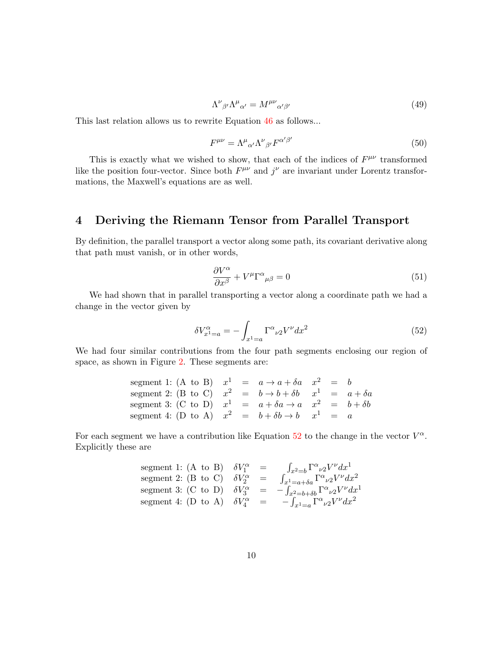$$
\Lambda^{\nu}{}_{\beta'}\Lambda^{\mu}{}_{\alpha'} = M^{\mu\nu}{}_{\alpha'\beta'}\tag{49}
$$

This last relation allows us to rewrite Equation [46](#page-8-1) as follows...

$$
F^{\mu\nu} = \Lambda^{\mu}{}_{\alpha'} \Lambda^{\nu}{}_{\beta'} F^{\alpha'\beta'} \tag{50}
$$

This is exactly what we wished to show, that each of the indices of  $F^{\mu\nu}$  transformed like the position four-vector. Since both  $F^{\mu\nu}$  and  $j^{\nu}$  are invariant under Lorentz transformations, the Maxwell's equations are as well.

# 4 Deriving the Riemann Tensor from Parallel Transport

By definition, the parallel transport a vector along some path, its covariant derivative along that path must vanish, or in other words,

<span id="page-9-1"></span>
$$
\frac{\partial V^{\alpha}}{\partial x^{\beta}} + V^{\mu} \Gamma^{\alpha}{}_{\mu\beta} = 0 \tag{51}
$$

We had shown that in parallel transporting a vector along a coordinate path we had a change in the vector given by

<span id="page-9-0"></span>
$$
\delta V_{x^1=a}^{\alpha} = -\int_{x^1=a} \Gamma^{\alpha}{}_{\nu 2} V^{\nu} dx^2 \tag{52}
$$

We had four similar contributions from the four path segments enclosing our region of space, as shown in Figure [2.](#page-10-0) These segments are:

segment 1: (A to B) 
$$
x^1
$$
 =  $a \rightarrow a + \delta a$   $x^2$  = b  
segment 2: (B to C)  $x^2$  =  $b \rightarrow b + \delta b$   $x^1$  =  $a + \delta a$   
segment 3: (C to D)  $x^1$  =  $a + \delta a \rightarrow a$   $x^2$  =  $b + \delta b$   
segment 4: (D to A)  $x^2$  =  $b + \delta b \rightarrow b$   $x^1$  = a

For each segment we have a contribution like Equation  $52$  to the change in the vector  $V^{\alpha}$ . Explicitly these are

segment 1: (A to B) 
$$
\delta V_1^{\alpha} = \int_{x^2=b} \Gamma^{\alpha}{}_{\nu 2}V^{\nu}dx^1
$$
  
segment 2: (B to C)  $\delta V_2^{\alpha} = \int_{x^1=a+\delta a} \Gamma^{\alpha}{}_{\nu 2}V^{\nu}dx^2$   
segment 3: (C to D)  $\delta V_3^{\alpha} = -\int_{x^2=b+\delta b} \Gamma^{\alpha}{}_{\nu 2}V^{\nu}dx^1$   
segment 4: (D to A)  $\delta V_4^{\alpha} = -\int_{x^1=a} \Gamma^{\alpha}{}_{\nu 2}V^{\nu}dx^2$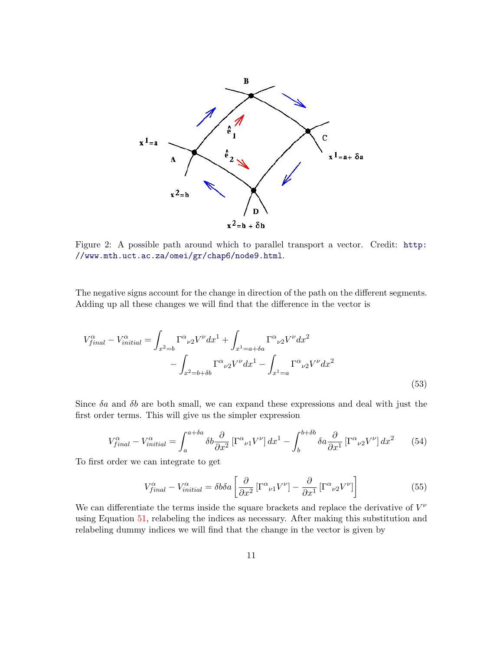

<span id="page-10-0"></span>Figure 2: A possible path around which to parallel transport a vector. Credit: [http:](http://www.mth.uct.ac.za/omei/gr/chap6/node9.html) [//www.mth.uct.ac.za/omei/gr/chap6/node9.html](http://www.mth.uct.ac.za/omei/gr/chap6/node9.html).

The negative signs account for the change in direction of the path on the different segments. Adding up all these changes we will find that the difference in the vector is

$$
V_{final}^{\alpha} - V_{initial}^{\alpha} = \int_{x^2=b} \Gamma^{\alpha}{}_{\nu 2} V^{\nu} dx^1 + \int_{x^1=a+\delta a} \Gamma^{\alpha}{}_{\nu 2} V^{\nu} dx^2
$$

$$
- \int_{x^2=b+\delta b} \Gamma^{\alpha}{}_{\nu 2} V^{\nu} dx^1 - \int_{x^1=a} \Gamma^{\alpha}{}_{\nu 2} V^{\nu} dx^2
$$
(53)

Since  $\delta a$  and  $\delta b$  are both small, we can expand these expressions and deal with just the first order terms. This will give us the simpler expression

$$
V_{final}^{\alpha} - V_{initial}^{\alpha} = \int_{a}^{a + \delta a} \delta b \frac{\partial}{\partial x^{2}} \left[ \Gamma^{\alpha}{}_{\nu 1} V^{\nu} \right] dx^{1} - \int_{b}^{b + \delta b} \delta a \frac{\partial}{\partial x^{1}} \left[ \Gamma^{\alpha}{}_{\nu 2} V^{\nu} \right] dx^{2} \tag{54}
$$

To first order we can integrate to get

$$
V_{final}^{\alpha} - V_{initial}^{\alpha} = \delta b \delta a \left[ \frac{\partial}{\partial x^2} \left[ \Gamma^{\alpha}{}_{\nu 1} V^{\nu} \right] - \frac{\partial}{\partial x^1} \left[ \Gamma^{\alpha}{}_{\nu 2} V^{\nu} \right] \right]
$$
(55)

We can differentiate the terms inside the square brackets and replace the derivative of  $V^{\nu}$ using Equation [51,](#page-9-1) relabeling the indices as necessary. After making this substitution and relabeling dummy indices we will find that the change in the vector is given by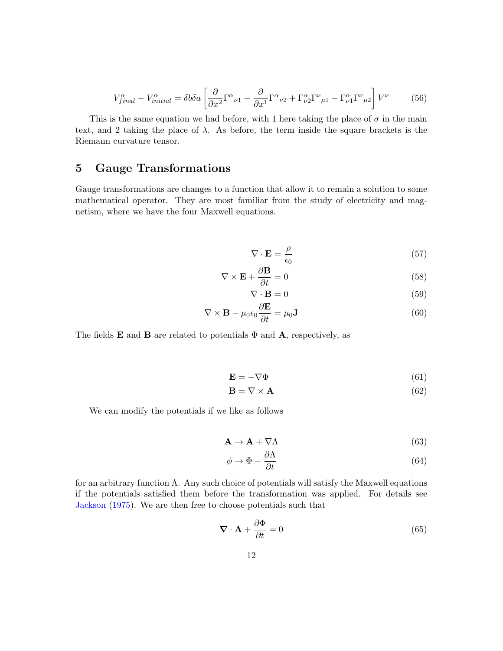$$
V_{final}^{\alpha} - V_{initial}^{\alpha} = \delta b \delta a \left[ \frac{\partial}{\partial x^2} \Gamma^{\alpha}{}_{\nu 1} - \frac{\partial}{\partial x^1} \Gamma^{\alpha}{}_{\nu 2} + \Gamma^{\alpha}_{\nu 2} \Gamma^{\nu}{}_{\mu 1} - \Gamma^{\alpha}_{\nu 1} \Gamma^{\nu}{}_{\mu 2} \right] V^{\nu} \tag{56}
$$

This is the same equation we had before, with 1 here taking the place of  $\sigma$  in the main text, and 2 taking the place of  $\lambda$ . As before, the term inside the square brackets is the Riemann curvature tensor.

# 5 Gauge Transformations

Gauge transformations are changes to a function that allow it to remain a solution to some mathematical operator. They are most familiar from the study of electricity and magnetism, where we have the four Maxwell equations.

$$
\nabla \cdot \mathbf{E} = \frac{\rho}{\epsilon_0} \tag{57}
$$

$$
\nabla \times \mathbf{E} + \frac{\partial \mathbf{B}}{\partial t} = 0 \tag{58}
$$

$$
\nabla \cdot \mathbf{B} = 0 \tag{59}
$$

$$
\nabla \times \mathbf{B} - \mu_0 \epsilon_0 \frac{\partial \mathbf{E}}{\partial t} = \mu_0 \mathbf{J}
$$
 (60)

The fields **E** and **B** are related to potentials  $\Phi$  and **A**, respectively, as

$$
\mathbf{E} = -\nabla \Phi \tag{61}
$$

$$
\mathbf{B} = \nabla \times \mathbf{A} \tag{62}
$$

We can modify the potentials if we like as follows

$$
\mathbf{A} \to \mathbf{A} + \nabla \Lambda \tag{63}
$$

$$
\phi \to \Phi - \frac{\partial \Lambda}{\partial t} \tag{64}
$$

for an arbitrary function  $\Lambda$ . Any such choice of potentials will satisfy the Maxwell equations if the potentials satisfied them before the transformation was applied. For details see [Jackson](#page-14-0) [\(1975\)](#page-14-0). We are then free to choose potentials such that

<span id="page-11-0"></span>
$$
\nabla \cdot \mathbf{A} + \frac{\partial \Phi}{\partial t} = 0 \tag{65}
$$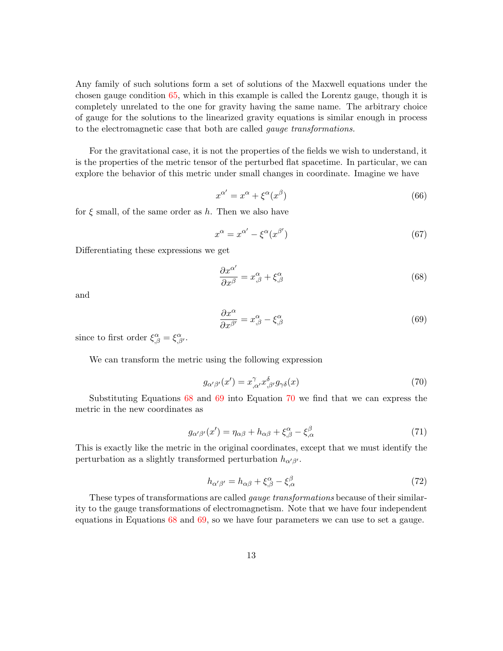Any family of such solutions form a set of solutions of the Maxwell equations under the chosen gauge condition [65,](#page-11-0) which in this example is called the Lorentz gauge, though it is completely unrelated to the one for gravity having the same name. The arbitrary choice of gauge for the solutions to the linearized gravity equations is similar enough in process to the electromagnetic case that both are called gauge transformations.

For the gravitational case, it is not the properties of the fields we wish to understand, it is the properties of the metric tensor of the perturbed flat spacetime. In particular, we can explore the behavior of this metric under small changes in coordinate. Imagine we have

$$
x^{\alpha'} = x^{\alpha} + \xi^{\alpha}(x^{\beta})
$$
\n(66)

for  $\xi$  small, of the same order as h. Then we also have

$$
x^{\alpha} = x^{\alpha'} - \xi^{\alpha}(x^{\beta'}) \tag{67}
$$

Differentiating these expressions we get

<span id="page-12-0"></span>
$$
\frac{\partial x^{\alpha'}}{\partial x^{\beta}} = x^{\alpha}_{,\beta} + \xi^{\alpha}_{,\beta} \tag{68}
$$

and

<span id="page-12-1"></span>
$$
\frac{\partial x^{\alpha}}{\partial x^{\beta'}} = x^{\alpha}_{,\beta} - \xi^{\alpha}_{,\beta} \tag{69}
$$

since to first order  $\xi^{\alpha}_{,\beta} = \xi^{\alpha}_{,\beta'}$ .

We can transform the metric using the following expression

<span id="page-12-2"></span>
$$
g_{\alpha'\beta'}(x') = x^{\gamma}_{,\alpha'} x^{\delta}_{,\beta'} g_{\gamma\delta}(x)
$$
\n(70)

Substituting Equations [68](#page-12-0) and [69](#page-12-1) into Equation [70](#page-12-2) we find that we can express the metric in the new coordinates as

$$
g_{\alpha'\beta'}(x') = \eta_{\alpha\beta} + h_{\alpha\beta} + \xi^{\alpha}_{,\beta} - \xi^{\beta}_{,\alpha}
$$
\n(71)

This is exactly like the metric in the original coordinates, except that we must identify the perturbation as a slightly transformed perturbation  $h_{\alpha'\beta'}$ .

$$
h_{\alpha'\beta'} = h_{\alpha\beta} + \xi^{\alpha}_{,\beta} - \xi^{\beta}_{,\alpha} \tag{72}
$$

These types of transformations are called gauge transformations because of their similarity to the gauge transformations of electromagnetism. Note that we have four independent equations in Equations [68](#page-12-0) and [69,](#page-12-1) so we have four parameters we can use to set a gauge.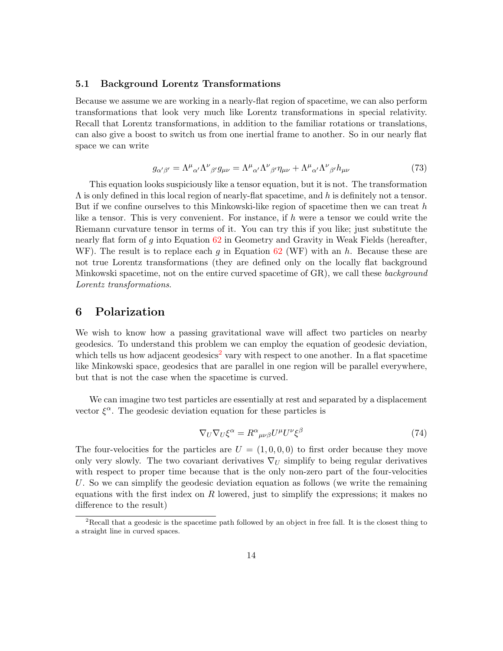#### 5.1 Background Lorentz Transformations

Because we assume we are working in a nearly-flat region of spacetime, we can also perform transformations that look very much like Lorentz transformations in special relativity. Recall that Lorentz transformations, in addition to the familiar rotations or translations, can also give a boost to switch us from one inertial frame to another. So in our nearly flat space we can write

$$
g_{\alpha'\beta'} = \Lambda^{\mu}{}_{\alpha'}\Lambda^{\nu}{}_{\beta'}g_{\mu\nu} = \Lambda^{\mu}{}_{\alpha'}\Lambda^{\nu}{}_{\beta'}\eta_{\mu\nu} + \Lambda^{\mu}{}_{\alpha'}\Lambda^{\nu}{}_{\beta'}h_{\mu\nu}
$$
\n(73)

This equation looks suspiciously like a tensor equation, but it is not. The transformation  $\Lambda$  is only defined in this local region of nearly-flat spacetime, and h is definitely not a tensor. But if we confine ourselves to this Minkowski-like region of spacetime then we can treat  $h$ like a tensor. This is very convenient. For instance, if h were a tensor we could write the Riemann curvature tensor in terms of it. You can try this if you like; just substitute the nearly flat form of g into Equation [62](#page-0-0) in Geometry and Gravity in Weak Fields (hereafter, WF). The result is to replace each g in Equation  $62$  (WF) with an h. Because these are not true Lorentz transformations (they are defined only on the locally flat background Minkowski spacetime, not on the entire curved spacetime of GR), we call these *background* Lorentz transformations.

#### 6 Polarization

We wish to know how a passing gravitational wave will affect two particles on nearby geodesics. To understand this problem we can employ the equation of geodesic deviation, which tells us how adjacent geodesics<sup>[2](#page-13-0)</sup> vary with respect to one another. In a flat spacetime like Minkowski space, geodesics that are parallel in one region will be parallel everywhere, but that is not the case when the spacetime is curved.

We can imagine two test particles are essentially at rest and separated by a displacement vector  $\xi^{\alpha}$ . The geodesic deviation equation for these particles is

$$
\nabla_U \nabla_U \xi^{\alpha} = R^{\alpha}{}_{\mu\nu\beta} U^{\mu} U^{\nu} \xi^{\beta} \tag{74}
$$

The four-velocities for the particles are  $U = (1, 0, 0, 0)$  to first order because they move only very slowly. The two covariant derivatives  $\nabla_U$  simplify to being regular derivatives with respect to proper time because that is the only non-zero part of the four-velocities U. So we can simplify the geodesic deviation equation as follows (we write the remaining equations with the first index on R lowered, just to simplify the expressions; it makes no difference to the result)

<span id="page-13-0"></span><sup>&</sup>lt;sup>2</sup>Recall that a geodesic is the spacetime path followed by an object in free fall. It is the closest thing to a straight line in curved spaces.